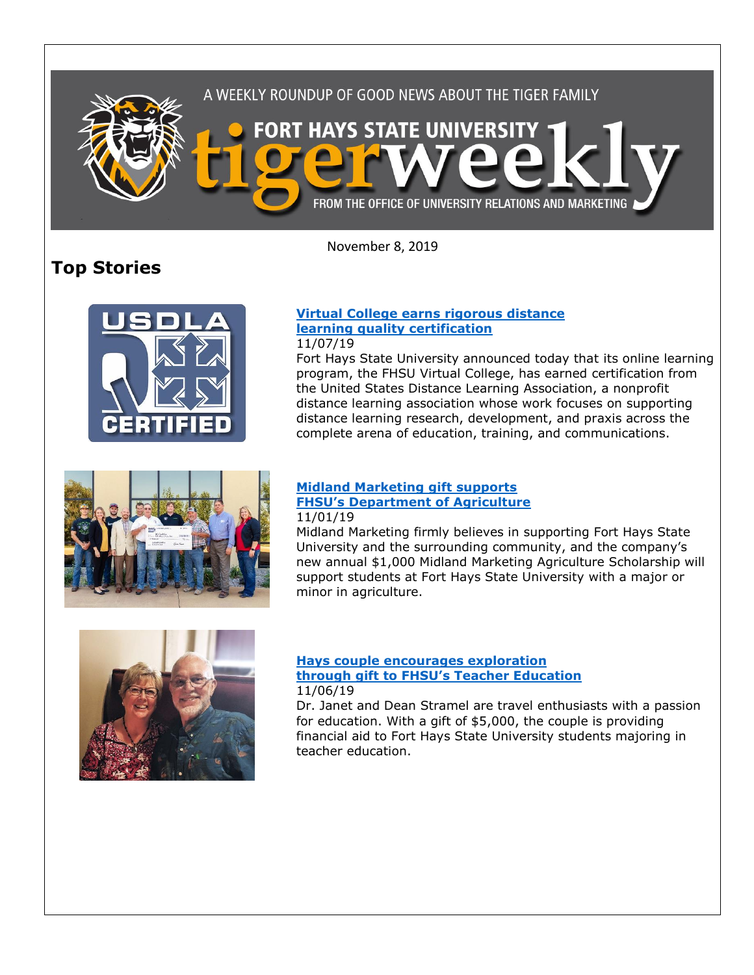

November 8, 2019

# **Top Stories**



# **[Virtual College earns rigorous distance](https://www.fhsu.edu/news/2019/11/fhsu-virtual-college-earns-rigorous-distance-learning-quality-certification)  [learning quality certification](https://www.fhsu.edu/news/2019/11/fhsu-virtual-college-earns-rigorous-distance-learning-quality-certification)**

## 11/07/19

Fort Hays State University announced today that its online learning program, the FHSU Virtual College, has earned certification from the United States Distance Learning Association, a nonprofit distance learning association whose work focuses on supporting distance learning research, development, and praxis across the complete arena of education, training, and communications.



#### **[Midland Marketing gift supports](https://fhsu.edu/news/2019/11/midland-marketing-gift-supports-fhsus-department-of-agriculture)  [FHSU's Department of Agriculture](https://fhsu.edu/news/2019/11/midland-marketing-gift-supports-fhsus-department-of-agriculture)** 11/01/19

Midland Marketing firmly believes in supporting Fort Hays State University and the surrounding community, and the company's new annual \$1,000 Midland Marketing Agriculture Scholarship will support students at Fort Hays State University with a major or minor in agriculture.



#### **[Hays couple encourages exploration](https://www.fhsu.edu/news/2019/11/hays-couple-encourages-exploration-through-gift-to-fhsus-teacher-education)  [through gift to FHSU's Teacher Education](https://www.fhsu.edu/news/2019/11/hays-couple-encourages-exploration-through-gift-to-fhsus-teacher-education)** 11/06/19

Dr. Janet and Dean Stramel are travel enthusiasts with a passion for education. With a gift of \$5,000, the couple is providing financial aid to Fort Hays State University students majoring in teacher education.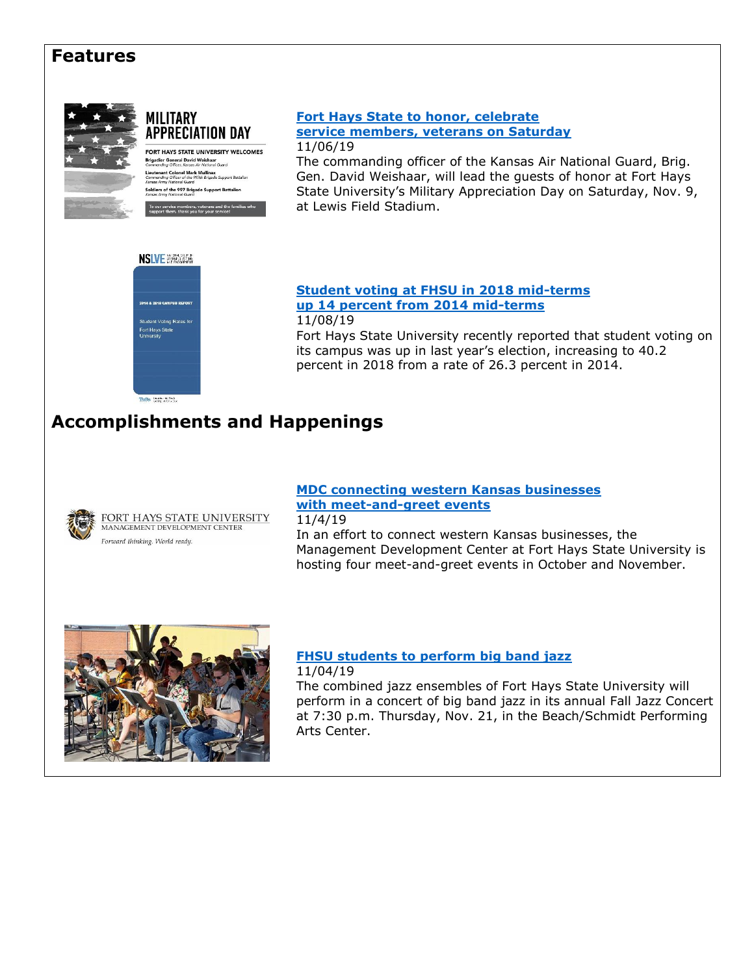# **Features**



# **MILITARY APPRECIATION DAY**

FORT HAYS STATE UNIVERSITY WELCOMES **Brigadier General David Weishaar**<br>Commanding Officer, Kansas Air National Guard Lieutenant Colonel Mark Mullinax<br>Lieutenant Colonel Mark Mullinax<br>Commanding Officer of the 997th Brigade Support Battalion Soldiers of the 997 Brigade Support Battalion To our service members, veterans and<br>support them, thank you for your servi

### **[Fort Hays State to honor, celebrate](https://www.fhsu.edu/news/2019/11/fort-hays-state-to-honor,-celebrate-service-members,-veterans-on-saturday)  [service members, veterans on Saturday](https://www.fhsu.edu/news/2019/11/fort-hays-state-to-honor,-celebrate-service-members,-veterans-on-saturday)** 11/06/19

The commanding officer of the Kansas Air National Guard, Brig. Gen. David Weishaar, will lead the guests of honor at Fort Hays State University's Military Appreciation Day on Saturday, Nov. 9, at Lewis Field Stadium.



**[Student voting at FHSU in 2018 mid-terms](https://www.fhsu.edu/news/2019/11/student-voting-at-fhsu-in-2018-mid-terms-up-14-percent-from-2014-mid-terms)  [up 14 percent from 2014 mid-terms](https://www.fhsu.edu/news/2019/11/student-voting-at-fhsu-in-2018-mid-terms-up-14-percent-from-2014-mid-terms)** 11/08/19

Fort Hays State University recently reported that student voting on its campus was up in last year's election, increasing to 40.2 percent in 2018 from a rate of 26.3 percent in 2014.

# **Accomplishments and Happenings**



# **[MDC connecting western Kansas businesses](https://www.fhsu.edu/news/2019/11/mdc-connecting-western-kansas-businesses-with-meet-and-greet-events)  [with meet-and-greet events](https://www.fhsu.edu/news/2019/11/mdc-connecting-western-kansas-businesses-with-meet-and-greet-events)**

11/4/19

In an effort to connect western Kansas businesses, the Management Development Center at Fort Hays State University is hosting four meet-and-greet events in October and November.



### **[FHSU students to perform big band jazz](https://www.fhsu.edu/news/2019/11/fhsu-students-to-perform-big-band-jazz)** 11/04/19

The combined jazz ensembles of Fort Hays State University will perform in a concert of big band jazz in its annual Fall Jazz Concert at 7:30 p.m. Thursday, Nov. 21, in the Beach/Schmidt Performing Arts Center.